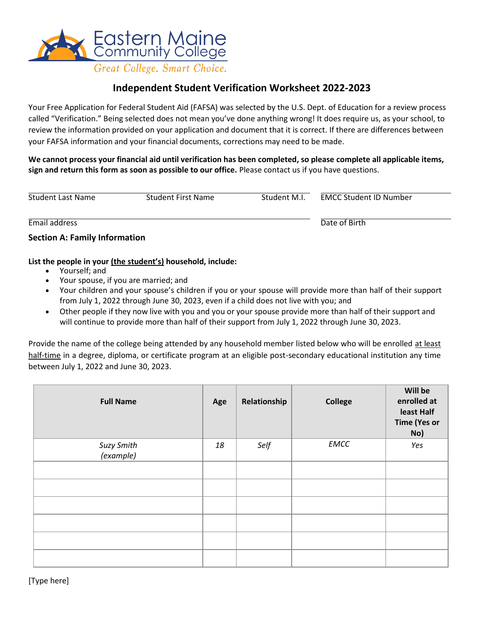

# **Independent Student Verification Worksheet 2022-2023**

Your Free Application for Federal Student Aid (FAFSA) was selected by the U.S. Dept. of Education for a review process called "Verification." Being selected does not mean you've done anything wrong! It does require us, as your school, to review the information provided on your application and document that it is correct. If there are differences between your FAFSA information and your financial documents, corrections may need to be made.

**We cannot process your financial aid until verification has been completed, so please complete all applicable items, sign and return this form as soon as possible to our office.** Please contact us if you have questions.

| <b>Student Last Name</b>             | Student First Name | Student M.I. | <b>EMCC Student ID Number</b> |  |
|--------------------------------------|--------------------|--------------|-------------------------------|--|
| Email address                        |                    |              | Date of Birth                 |  |
| <b>Section A: Family Information</b> |                    |              |                               |  |

#### **List the people in your (the student's) household, include:**

- Yourself; and
- Your spouse, if you are married; and
- Your children and your spouse's children if you or your spouse will provide more than half of their support from July 1, 2022 through June 30, 2023, even if a child does not live with you; and
- Other people if they now live with you and you or your spouse provide more than half of their support and will continue to provide more than half of their support from July 1, 2022 through June 30, 2023.

Provide the name of the college being attended by any household member listed below who will be enrolled at least half-time in a degree, diploma, or certificate program at an eligible post-secondary educational institution any time between July 1, 2022 and June 30, 2023.

| <b>Full Name</b>        | Age | Relationship | <b>College</b> | Will be<br>enrolled at<br>least Half<br><b>Time (Yes or</b><br>No) |
|-------------------------|-----|--------------|----------------|--------------------------------------------------------------------|
| Suzy Smith<br>(example) | 18  | Self         | <b>EMCC</b>    | Yes                                                                |
|                         |     |              |                |                                                                    |
|                         |     |              |                |                                                                    |
|                         |     |              |                |                                                                    |
|                         |     |              |                |                                                                    |
|                         |     |              |                |                                                                    |
|                         |     |              |                |                                                                    |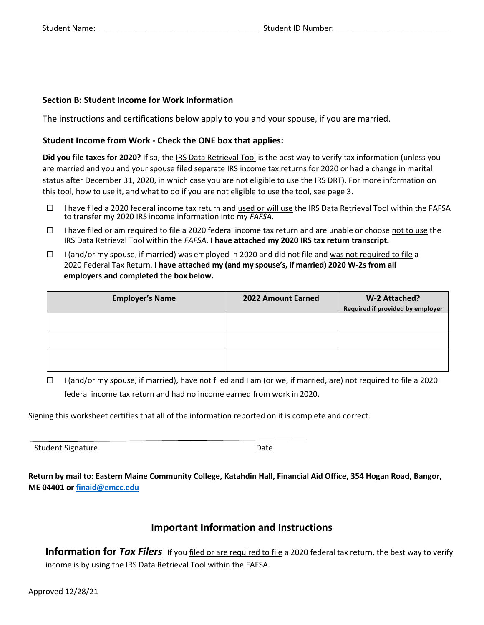## **Section B: Student Income for Work Information**

The instructions and certifications below apply to you and your spouse, if you are married.

#### **Student Income from Work - Check the ONE box that applies:**

**Did you file taxes for 2020?** If so, the IRS Data Retrieval Tool is the best way to verify tax information (unless you are married and you and your spouse filed separate IRS income tax returns for 2020 or had a change in marital status after December 31, 2020, in which case you are not eligible to use the IRS DRT). For more information on this tool, how to use it, and what to do if you are not eligible to use the tool, see page 3.

- $\Box$  I have filed a 2020 federal income tax return and used or will use the IRS Data Retrieval Tool within the FAFSA to transfer my 2020 IRS income information into my *FAFSA*.
- $\Box$  I have filed or am required to file a 2020 federal income tax return and are unable or choose not to use the IRS Data Retrieval Tool within the *FAFSA*. **I have attached my 2020 IRS tax return transcript.**
- $\Box$  I (and/or my spouse, if married) was employed in 2020 and did not file and was not required to file a 2020 Federal Tax Return. **I have attached my (and my spouse's, if married) 2020 W-2s from all employers and completed the box below.**

| <b>Employer's Name</b> | 2022 Amount Earned | W-2 Attached?<br>Required if provided by employer |
|------------------------|--------------------|---------------------------------------------------|
|                        |                    |                                                   |
|                        |                    |                                                   |
|                        |                    |                                                   |

 $\Box$  I (and/or my spouse, if married), have not filed and I am (or we, if married, are) not required to file a 2020 federal income tax return and had no income earned from work in 2020.

Signing this worksheet certifies that all of the information reported on it is complete and correct.

Student Signature Date Date

**Return by mail to: Eastern Maine Community College, Katahdin Hall, Financial Aid Office, 354 Hogan Road, Bangor, ME 04401 or [finaid@emcc.edu](mailto:finaid@emcc.edu)**

# **Important Information and Instructions**

**Information for** *Tax Filers* If you filed or are required to file a 2020 federal tax return, the best way to verify income is by using the IRS Data Retrieval Tool within the FAFSA.